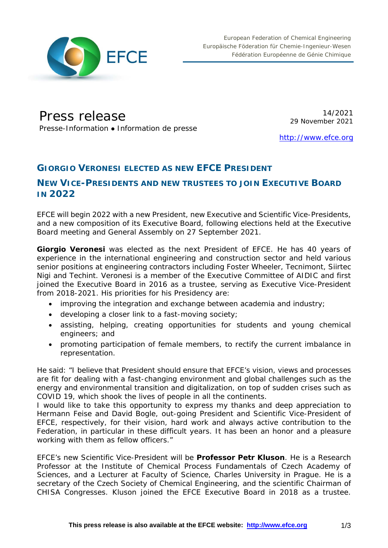

# Press release

Presse-Information • Information de presse

14/2021 29 November 2021

[http://www.efce.org](http://www.efce.org/)

## **GIORGIO VERONESI ELECTED AS NEW EFCE PRESIDENT**

### **NEW VICE-PRESIDENTS AND NEW TRUSTEES TO JOIN EXECUTIVE BOARD IN 2022**

EFCE will begin 2022 with a new President, new Executive and Scientific Vice-Presidents, and a new composition of its Executive Board, following elections held at the Executive Board meeting and General Assembly on 27 September 2021.

**Giorgio Veronesi** was elected as the next President of EFCE. He has 40 years of experience in the international engineering and construction sector and held various senior positions at engineering contractors including Foster Wheeler, Tecnimont, Siirtec Nigi and Techint. Veronesi is a member of the Executive Committee of AIDIC and first joined the Executive Board in 2016 as a trustee, serving as Executive Vice-President from 2018-2021. His priorities for his Presidency are:

- improving the integration and exchange between academia and industry;
- developing a closer link to a fast-moving society;
- assisting, helping, creating opportunities for students and young chemical engineers; and
- promoting participation of female members, to rectify the current imbalance in representation.

He said: "I believe that President should ensure that EFCE's vision, views and processes are fit for dealing with a fast-changing environment and global challenges such as the energy and environmental transition and digitalization, on top of sudden crises such as COVID 19, which shook the lives of people in all the continents.

I would like to take this opportunity to express my thanks and deep appreciation to Hermann Feise and David Bogle, out-going President and Scientific Vice-President of EFCE, respectively, for their vision, hard work and always active contribution to the Federation, in particular in these difficult years. It has been an honor and a pleasure working with them as fellow officers."

EFCE's new Scientific Vice-President will be **Professor Petr Kluson**. He is a Research Professor at the Institute of Chemical Process Fundamentals of Czech Academy of Sciences, and a Lecturer at Faculty of Science, Charles University in Prague. He is a secretary of the Czech Society of Chemical Engineering, and the scientific Chairman of CHISA Congresses. Kluson joined the EFCE Executive Board in 2018 as a trustee.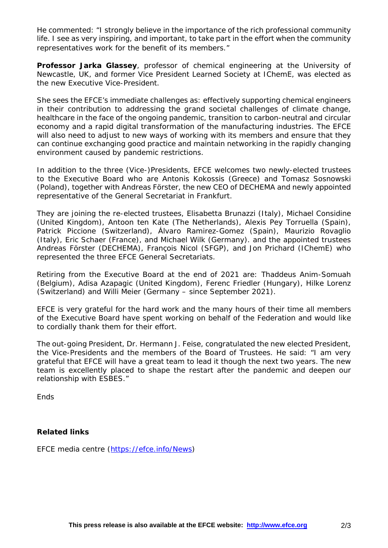He commented: "I strongly believe in the importance of the rich professional community life. I see as very inspiring, and important, to take part in the effort when the community representatives work for the benefit of its members."

**Professor Jarka Glassey**, professor of chemical engineering at the University of Newcastle, UK, and former Vice President Learned Society at IChemE, was elected as the new Executive Vice-President.

She sees the EFCE's immediate challenges as: effectively supporting chemical engineers in their contribution to addressing the grand societal challenges of climate change, healthcare in the face of the ongoing pandemic, transition to carbon-neutral and circular economy and a rapid digital transformation of the manufacturing industries. The EFCE will also need to adjust to new ways of working with its members and ensure that they can continue exchanging good practice and maintain networking in the rapidly changing environment caused by pandemic restrictions.

In addition to the three (Vice-)Presidents, EFCE welcomes two newly-elected trustees to the Executive Board who are Antonis Kokossis (Greece) and Tomasz Sosnowski (Poland), together with Andreas Förster, the new CEO of DECHEMA and newly appointed representative of the General Secretariat in Frankfurt.

They are joining the re-elected trustees, Elisabetta Brunazzi (Italy), Michael Considine (United Kingdom), Antoon ten Kate (The Netherlands), Alexis Pey Torruella (Spain), Patrick Piccione (Switzerland), Álvaro Ramirez-Gomez (Spain), Maurizio Rovaglio (Italy), Eric Schaer (France), and Michael Wilk (Germany). and the appointed trustees Andreas Förster (DECHEMA), François Nicol (SFGP), and Jon Prichard (IChemE) who represented the three EFCE General Secretariats.

Retiring from the Executive Board at the end of 2021 are: Thaddeus Anim-Somuah (Belgium), Adisa Azapagic (United Kingdom), Ferenc Friedler (Hungary), Hilke Lorenz (Switzerland) and Willi Meier (Germany – since September 2021).

EFCE is very grateful for the hard work and the many hours of their time all members of the Executive Board have spent working on behalf of the Federation and would like to cordially thank them for their effort.

The out-going President, Dr. Hermann J. Feise, congratulated the new elected President, the Vice-Presidents and the members of the Board of Trustees. He said: "I am very grateful that EFCE will have a great team to lead it though the next two years. The new team is excellently placed to shape the restart after the pandemic and deepen our relationship with ESBES."

**Ends** 

#### **Related links**

EFCE media centre [\(https://efce.info/News\)](https://efce.info/News)